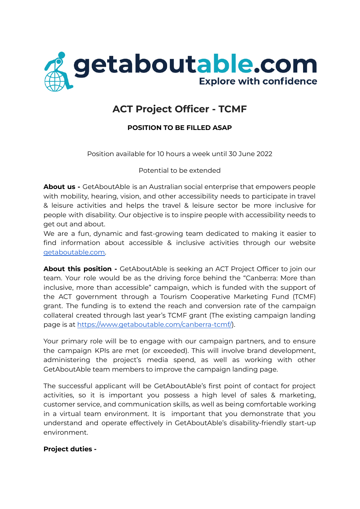

# **ACT Project Officer - TCMF**

## **POSITION TO BE FILLED ASAP**

Position available for 10 hours a week until 30 June 2022

Potential to be extended

**About us -** GetAboutAble is an Australian social enterprise that empowers people with mobility, hearing, vision, and other accessibility needs to participate in travel & leisure activities and helps the travel & leisure sector be more inclusive for people with disability. Our objective is to inspire people with accessibility needs to get out and about.

We are a fun, dynamic and fast-growing team dedicated to making it easier to find information about accessible & inclusive activities through our website [getaboutable.com.](https://www.getaboutable.com)

**About this position -** GetAboutAble is seeking an ACT Project Officer to join our team. Your role would be as the driving force behind the "Canberra: More than inclusive, more than accessible" campaign, which is funded with the support of the ACT government through a Tourism Cooperative Marketing Fund (TCMF) grant. The funding is to extend the reach and conversion rate of the campaign collateral created through last year's TCMF grant (The existing campaign landing page is at [https://www.getaboutable.com/canberra-tcmf/\)](https://www.getaboutable.com/canberra-tcmf/).

Your primary role will be to engage with our campaign partners, and to ensure the campaign KPIs are met (or exceeded). This will involve brand development, administering the project's media spend, as well as working with other GetAboutAble team members to improve the campaign landing page.

The successful applicant will be GetAboutAble's first point of contact for project activities, so it is important you possess a high level of sales & marketing, customer service, and communication skills, as well as being comfortable working in a virtual team environment. It is important that you demonstrate that you understand and operate effectively in GetAboutAble's disability-friendly start-up environment.

#### **Project duties -**